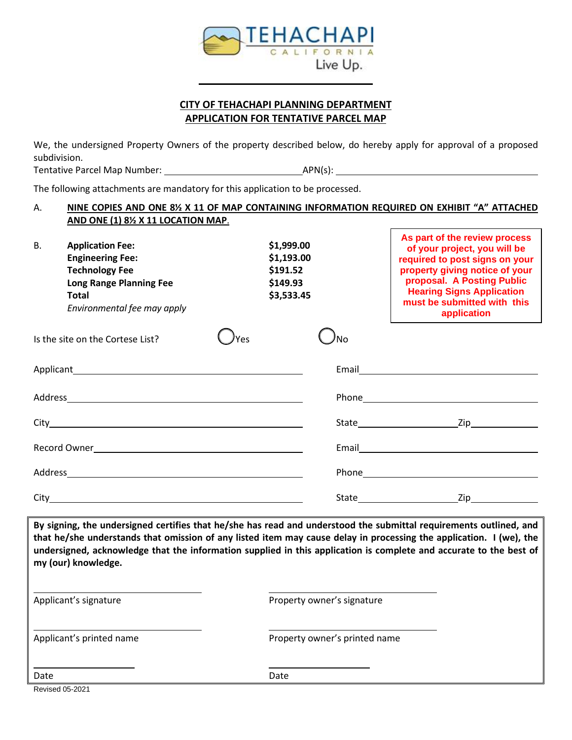

## **CITY OF TEHACHAPI PLANNING DEPARTMENT APPLICATION FOR TENTATIVE PARCEL MAP**

We, the undersigned Property Owners of the property described below, do hereby apply for approval of a proposed subdivision.

Tentative Parcel Map Number: APN(s):

The following attachments are mandatory for this application to be processed.

#### A. **NINE COPIES AND ONE 8½ X 11 OF MAP CONTAINING INFORMATION REQUIRED ON EXHIBIT "A" ATTACHED AND ONE (1) 8½ X 11 LOCATION MAP**.

**As part of the review process** 

| В. | <b>Application Fee:</b><br><b>Engineering Fee:</b><br><b>Technology Fee</b><br><b>Long Range Planning Fee</b><br><b>Total</b><br>Environmental fee may apply |     | \$1,999.00<br>\$1,193.00<br>\$191.52<br>\$149.93<br>\$3,533.45 | As part of the review process<br>of your project, you will be<br>required to post signs on your<br>property giving notice of your<br>proposal. A Posting Public<br><b>Hearing Signs Application</b><br>must be submitted with this<br>application |
|----|--------------------------------------------------------------------------------------------------------------------------------------------------------------|-----|----------------------------------------------------------------|---------------------------------------------------------------------------------------------------------------------------------------------------------------------------------------------------------------------------------------------------|
|    | Is the site on the Cortese List?                                                                                                                             | Yes | No                                                             |                                                                                                                                                                                                                                                   |
|    |                                                                                                                                                              |     |                                                                | Email <u>________________________</u>                                                                                                                                                                                                             |
|    |                                                                                                                                                              |     |                                                                |                                                                                                                                                                                                                                                   |
|    |                                                                                                                                                              |     |                                                                | State Zip                                                                                                                                                                                                                                         |
|    |                                                                                                                                                              |     |                                                                |                                                                                                                                                                                                                                                   |
|    |                                                                                                                                                              |     |                                                                |                                                                                                                                                                                                                                                   |
|    |                                                                                                                                                              |     |                                                                |                                                                                                                                                                                                                                                   |
|    |                                                                                                                                                              |     |                                                                |                                                                                                                                                                                                                                                   |

**By signing, the undersigned certifies that he/she has read and understood the submittal requirements outlined, and that he/she understands that omission of any listed item may cause delay in processing the application. I (we), the undersigned, acknowledge that the information supplied in this application is complete and accurate to the best of my (our) knowledge.**

| Applicant's signature    | Property owner's signature    |
|--------------------------|-------------------------------|
| Applicant's printed name | Property owner's printed name |
| Date                     | Date                          |

Revised 05-2021